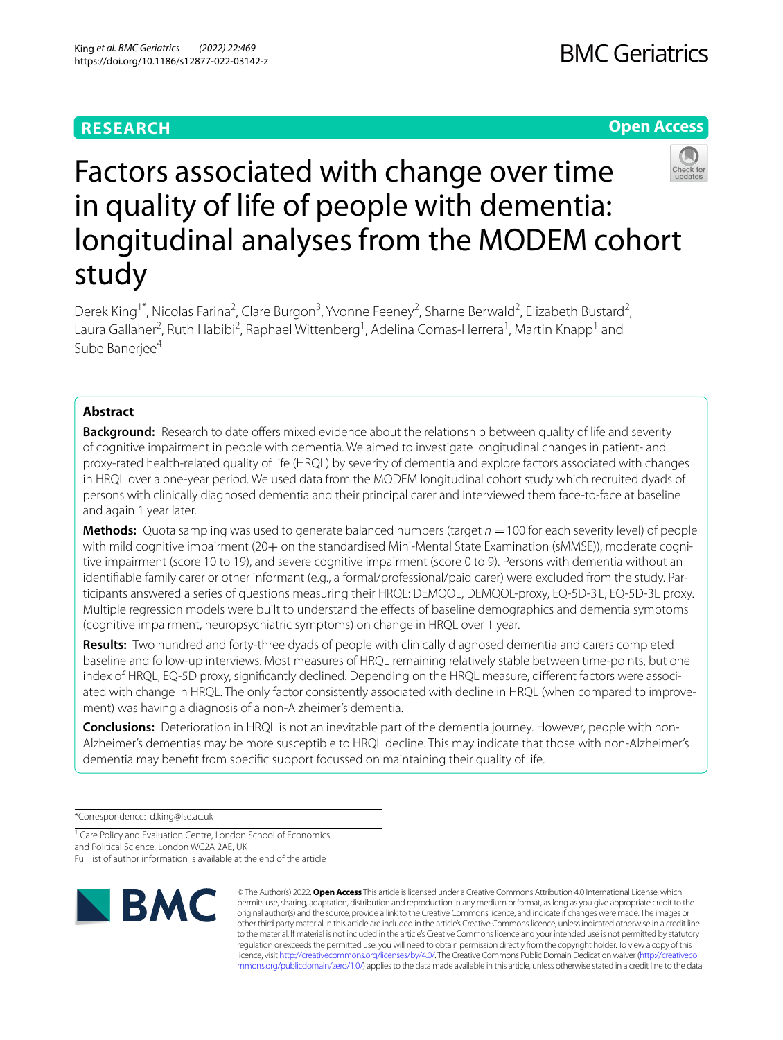# **RESEARCH**

# **Open Access**



# Factors associated with change over time in quality of life of people with dementia: longitudinal analyses from the MODEM cohort study

Derek King<sup>1\*</sup>, Nicolas Farina<sup>2</sup>, Clare Burgon<sup>3</sup>, Yvonne Feeney<sup>2</sup>, Sharne Berwald<sup>2</sup>, Elizabeth Bustard<sup>2</sup>, Laura Gallaher<sup>2</sup>, Ruth Habibi<sup>2</sup>, Raphael Wittenberg<sup>1</sup>, Adelina Comas-Herrera<sup>1</sup>, Martin Knapp<sup>1</sup> and Sube Banerjee<sup>4</sup>

## **Abstract**

**Background:** Research to date offers mixed evidence about the relationship between quality of life and severity of cognitive impairment in people with dementia. We aimed to investigate longitudinal changes in patient- and proxy-rated health-related quality of life (HRQL) by severity of dementia and explore factors associated with changes in HRQL over a one-year period. We used data from the MODEM longitudinal cohort study which recruited dyads of persons with clinically diagnosed dementia and their principal carer and interviewed them face-to-face at baseline and again 1 year later.

**Methods:** Quota sampling was used to generate balanced numbers (target  $n = 100$  for each severity level) of people with mild cognitive impairment (20+ on the standardised Mini-Mental State Examination (sMMSE)), moderate cognitive impairment (score 10 to 19), and severe cognitive impairment (score 0 to 9). Persons with dementia without an identifiable family carer or other informant (e.g., a formal/professional/paid carer) were excluded from the study. Participants answered a series of questions measuring their HRQL: DEMQOL, DEMQOL-proxy, EQ-5D-3 L, EQ-5D-3L proxy. Multiple regression models were built to understand the efects of baseline demographics and dementia symptoms (cognitive impairment, neuropsychiatric symptoms) on change in HRQL over 1 year.

**Results:** Two hundred and forty-three dyads of people with clinically diagnosed dementia and carers completed baseline and follow-up interviews. Most measures of HRQL remaining relatively stable between time-points, but one index of HRQL, EQ-5D proxy, significantly declined. Depending on the HRQL measure, different factors were associated with change in HRQL. The only factor consistently associated with decline in HRQL (when compared to improvement) was having a diagnosis of a non-Alzheimer's dementia.

**Conclusions:** Deterioration in HRQL is not an inevitable part of the dementia journey. However, people with non-Alzheimer's dementias may be more susceptible to HRQL decline. This may indicate that those with non-Alzheimer's dementia may beneft from specifc support focussed on maintaining their quality of life.

\*Correspondence: d.king@lse.ac.uk

<sup>1</sup> Care Policy and Evaluation Centre, London School of Economics and Political Science, London WC2A 2AE, UK Full list of author information is available at the end of the article



© The Author(s) 2022. **Open Access** This article is licensed under a Creative Commons Attribution 4.0 International License, which permits use, sharing, adaptation, distribution and reproduction in any medium or format, as long as you give appropriate credit to the original author(s) and the source, provide a link to the Creative Commons licence, and indicate if changes were made. The images or other third party material in this article are included in the article's Creative Commons licence, unless indicated otherwise in a credit line to the material. If material is not included in the article's Creative Commons licence and your intended use is not permitted by statutory regulation or exceeds the permitted use, you will need to obtain permission directly from the copyright holder. To view a copy of this licence, visit [http://creativecommons.org/licenses/by/4.0/.](http://creativecommons.org/licenses/by/4.0/) The Creative Commons Public Domain Dedication waiver ([http://creativeco](http://creativecommons.org/publicdomain/zero/1.0/) [mmons.org/publicdomain/zero/1.0/](http://creativecommons.org/publicdomain/zero/1.0/)) applies to the data made available in this article, unless otherwise stated in a credit line to the data.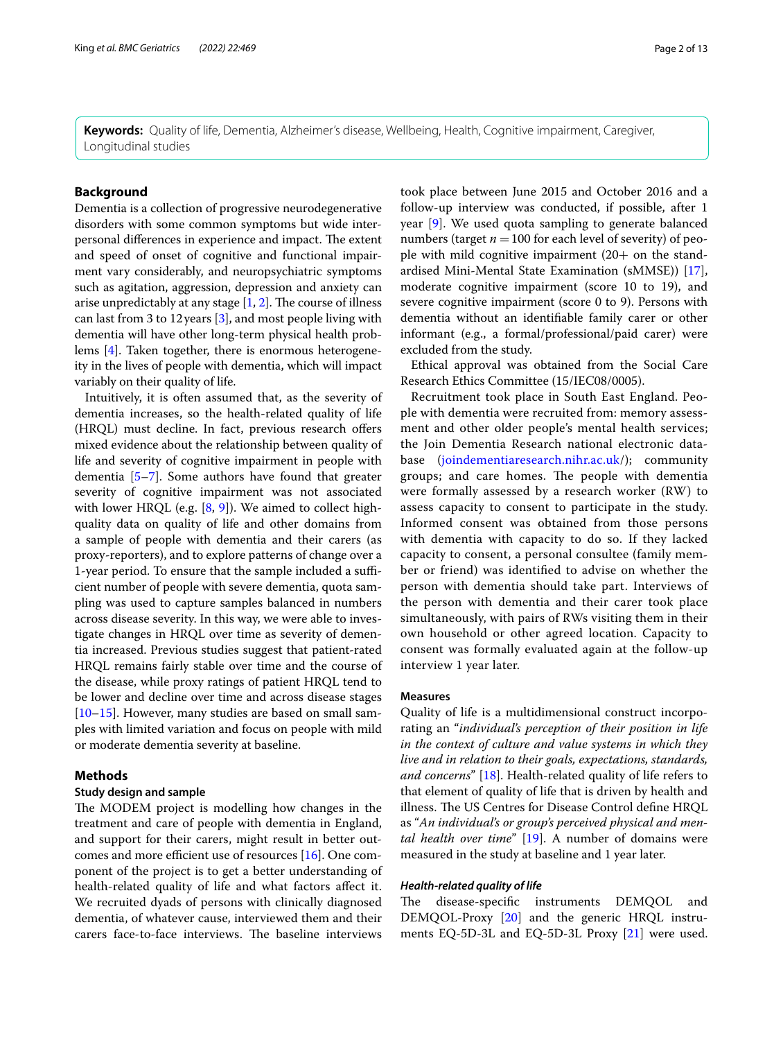**Keywords:** Quality of life, Dementia, Alzheimer's disease, Wellbeing, Health, Cognitive impairment, Caregiver, Longitudinal studies

## **Background**

Dementia is a collection of progressive neurodegenerative disorders with some common symptoms but wide interpersonal differences in experience and impact. The extent and speed of onset of cognitive and functional impairment vary considerably, and neuropsychiatric symptoms such as agitation, aggression, depression and anxiety can arise unpredictably at any stage  $[1, 2]$  $[1, 2]$  $[1, 2]$ . The course of illness can last from 3 to 12years [\[3](#page-11-2)], and most people living with dementia will have other long-term physical health problems [\[4](#page-11-3)]. Taken together, there is enormous heterogeneity in the lives of people with dementia, which will impact variably on their quality of life.

Intuitively, it is often assumed that, as the severity of dementia increases, so the health-related quality of life (HRQL) must decline. In fact, previous research offers mixed evidence about the relationship between quality of life and severity of cognitive impairment in people with dementia [\[5](#page-11-4)[–7](#page-11-5)]. Some authors have found that greater severity of cognitive impairment was not associated with lower HRQL (e.g. [\[8](#page-11-6), [9](#page-11-7)]). We aimed to collect highquality data on quality of life and other domains from a sample of people with dementia and their carers (as proxy-reporters), and to explore patterns of change over a 1-year period. To ensure that the sample included a sufficient number of people with severe dementia, quota sampling was used to capture samples balanced in numbers across disease severity. In this way, we were able to investigate changes in HRQL over time as severity of dementia increased. Previous studies suggest that patient-rated HRQL remains fairly stable over time and the course of the disease, while proxy ratings of patient HRQL tend to be lower and decline over time and across disease stages [[10–](#page-11-8)[15](#page-12-0)]. However, many studies are based on small samples with limited variation and focus on people with mild or moderate dementia severity at baseline.

#### **Methods**

#### **Study design and sample**

The MODEM project is modelling how changes in the treatment and care of people with dementia in England, and support for their carers, might result in better outcomes and more efficient use of resources  $[16]$  $[16]$ . One component of the project is to get a better understanding of health-related quality of life and what factors afect it. We recruited dyads of persons with clinically diagnosed dementia, of whatever cause, interviewed them and their carers face-to-face interviews. The baseline interviews took place between June 2015 and October 2016 and a follow-up interview was conducted, if possible, after 1 year [[9\]](#page-11-7). We used quota sampling to generate balanced numbers (target  $n = 100$  for each level of severity) of people with mild cognitive impairment  $(20+)$  on the standardised Mini-Mental State Examination (sMMSE)) [\[17](#page-12-2)], moderate cognitive impairment (score 10 to 19), and severe cognitive impairment (score 0 to 9). Persons with dementia without an identifable family carer or other informant (e.g., a formal/professional/paid carer) were excluded from the study.

Ethical approval was obtained from the Social Care Research Ethics Committee (15/IEC08/0005).

Recruitment took place in South East England. People with dementia were recruited from: memory assessment and other older people's mental health services; the Join Dementia Research national electronic database ([joindementiaresearch.nihr.ac.uk/](http://joindementiaresearch.nihr.ac.uk)); community groups; and care homes. The people with dementia were formally assessed by a research worker (RW) to assess capacity to consent to participate in the study. Informed consent was obtained from those persons with dementia with capacity to do so. If they lacked capacity to consent, a personal consultee (family member or friend) was identifed to advise on whether the person with dementia should take part. Interviews of the person with dementia and their carer took place simultaneously, with pairs of RWs visiting them in their own household or other agreed location. Capacity to consent was formally evaluated again at the follow-up interview 1 year later.

#### **Measures**

Quality of life is a multidimensional construct incorporating an "*individual's perception of their position in life in the context of culture and value systems in which they live and in relation to their goals, expectations, standards, and concerns*" [[18\]](#page-12-3). Health-related quality of life refers to that element of quality of life that is driven by health and illness. The US Centres for Disease Control define HRQL as "*An individual's or group's perceived physical and mental health over time*" [\[19](#page-12-4)]. A number of domains were measured in the study at baseline and 1 year later.

#### *Health‑related quality of life*

The disease-specific instruments DEMQOL and DEMQOL-Proxy [\[20\]](#page-12-5) and the generic HRQL instruments EQ-5D-3L and EQ-5D-3L Proxy [\[21\]](#page-12-6) were used.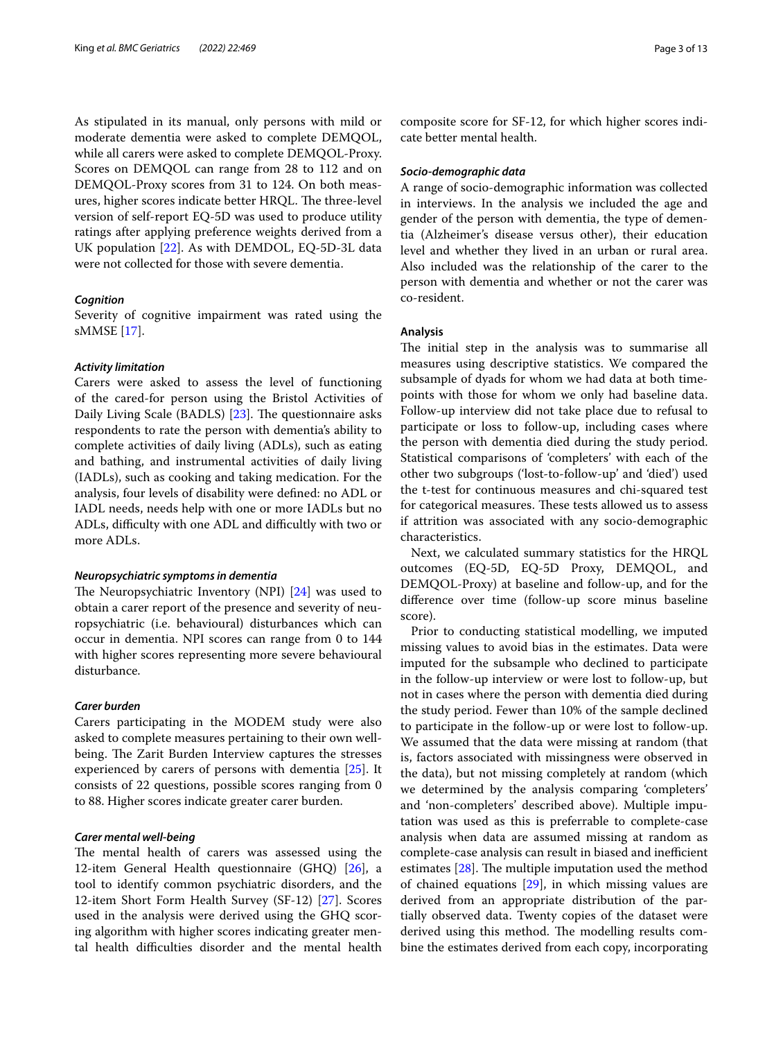As stipulated in its manual, only persons with mild or moderate dementia were asked to complete DEMQOL, while all carers were asked to complete DEMQOL-Proxy. Scores on DEMQOL can range from 28 to 112 and on DEMQOL-Proxy scores from 31 to 124. On both measures, higher scores indicate better HRQL. The three-level version of self-report EQ-5D was used to produce utility ratings after applying preference weights derived from a UK population [[22](#page-12-7)]. As with DEMDOL, EQ-5D-3L data were not collected for those with severe dementia.

## *Cognition*

Severity of cognitive impairment was rated using the sMMSE [[17\]](#page-12-2).

#### *Activity limitation*

Carers were asked to assess the level of functioning of the cared-for person using the Bristol Activities of Daily Living Scale (BADLS) [[23](#page-12-8)]. The questionnaire asks respondents to rate the person with dementia's ability to complete activities of daily living (ADLs), such as eating and bathing, and instrumental activities of daily living (IADLs), such as cooking and taking medication. For the analysis, four levels of disability were defned: no ADL or IADL needs, needs help with one or more IADLs but no ADLs, difficulty with one ADL and difficultly with two or more ADLs.

#### *Neuropsychiatric symptoms in dementia*

The Neuropsychiatric Inventory (NPI)  $[24]$  $[24]$  $[24]$  was used to obtain a carer report of the presence and severity of neuropsychiatric (i.e. behavioural) disturbances which can occur in dementia. NPI scores can range from 0 to 144 with higher scores representing more severe behavioural disturbance.

#### *Carer burden*

Carers participating in the MODEM study were also asked to complete measures pertaining to their own wellbeing. The Zarit Burden Interview captures the stresses experienced by carers of persons with dementia [\[25](#page-12-10)]. It consists of 22 questions, possible scores ranging from 0 to 88. Higher scores indicate greater carer burden.

## *Carer mental well‑being*

The mental health of carers was assessed using the 12-item General Health questionnaire (GHQ) [\[26](#page-12-11)], a tool to identify common psychiatric disorders, and the 12-item Short Form Health Survey (SF-12) [[27\]](#page-12-12). Scores used in the analysis were derived using the GHQ scoring algorithm with higher scores indicating greater mental health difficulties disorder and the mental health composite score for SF-12, for which higher scores indicate better mental health.

#### *Socio‑demographic data*

A range of socio-demographic information was collected in interviews. In the analysis we included the age and gender of the person with dementia, the type of dementia (Alzheimer's disease versus other), their education level and whether they lived in an urban or rural area. Also included was the relationship of the carer to the person with dementia and whether or not the carer was co-resident.

#### **Analysis**

The initial step in the analysis was to summarise all measures using descriptive statistics. We compared the subsample of dyads for whom we had data at both timepoints with those for whom we only had baseline data. Follow-up interview did not take place due to refusal to participate or loss to follow-up, including cases where the person with dementia died during the study period. Statistical comparisons of 'completers' with each of the other two subgroups ('lost-to-follow-up' and 'died') used the t-test for continuous measures and chi-squared test for categorical measures. These tests allowed us to assess if attrition was associated with any socio-demographic characteristics.

Next, we calculated summary statistics for the HRQL outcomes (EQ-5D, EQ-5D Proxy, DEMQOL, and DEMQOL-Proxy) at baseline and follow-up, and for the diference over time (follow-up score minus baseline score).

Prior to conducting statistical modelling, we imputed missing values to avoid bias in the estimates. Data were imputed for the subsample who declined to participate in the follow-up interview or were lost to follow-up, but not in cases where the person with dementia died during the study period. Fewer than 10% of the sample declined to participate in the follow-up or were lost to follow-up. We assumed that the data were missing at random (that is, factors associated with missingness were observed in the data), but not missing completely at random (which we determined by the analysis comparing 'completers' and 'non-completers' described above). Multiple imputation was used as this is preferrable to complete-case analysis when data are assumed missing at random as complete-case analysis can result in biased and inefficient estimates  $[28]$  $[28]$ . The multiple imputation used the method of chained equations [\[29](#page-12-14)], in which missing values are derived from an appropriate distribution of the partially observed data. Twenty copies of the dataset were derived using this method. The modelling results combine the estimates derived from each copy, incorporating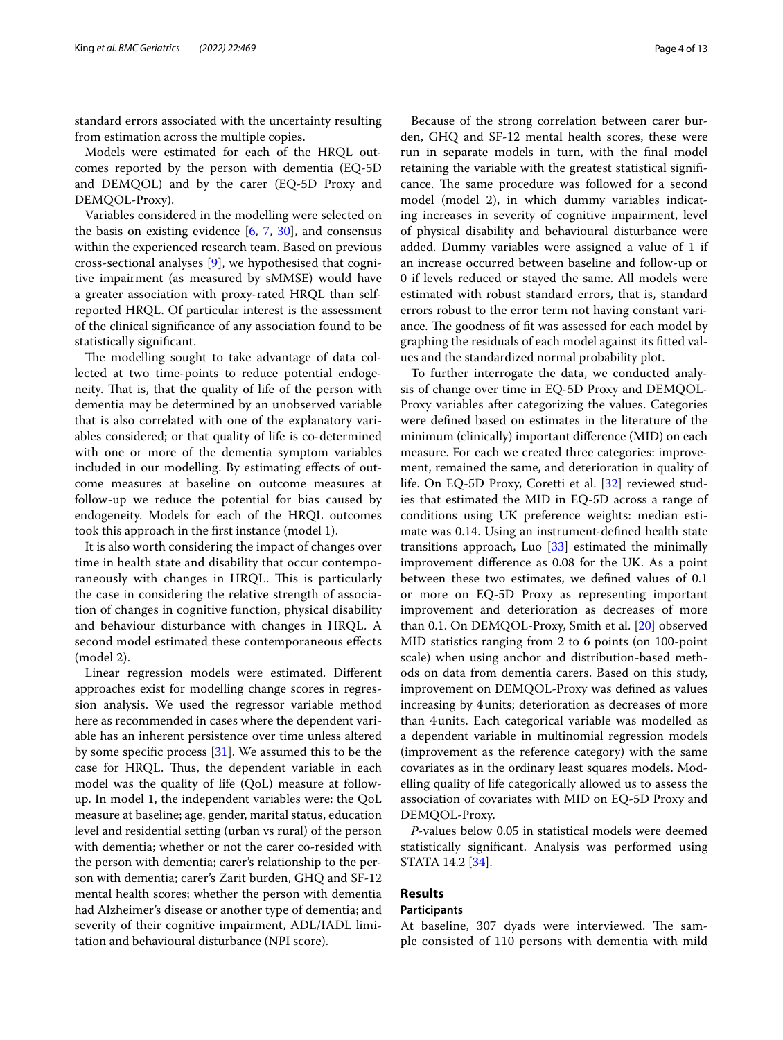standard errors associated with the uncertainty resulting from estimation across the multiple copies.

Models were estimated for each of the HRQL outcomes reported by the person with dementia (EQ-5D and DEMQOL) and by the carer (EQ-5D Proxy and DEMQOL-Proxy).

Variables considered in the modelling were selected on the basis on existing evidence  $[6, 7, 30]$  $[6, 7, 30]$  $[6, 7, 30]$  $[6, 7, 30]$  $[6, 7, 30]$ , and consensus within the experienced research team. Based on previous cross-sectional analyses [[9\]](#page-11-7), we hypothesised that cognitive impairment (as measured by sMMSE) would have a greater association with proxy-rated HRQL than selfreported HRQL. Of particular interest is the assessment of the clinical signifcance of any association found to be statistically signifcant.

The modelling sought to take advantage of data collected at two time-points to reduce potential endogeneity. That is, that the quality of life of the person with dementia may be determined by an unobserved variable that is also correlated with one of the explanatory variables considered; or that quality of life is co-determined with one or more of the dementia symptom variables included in our modelling. By estimating efects of outcome measures at baseline on outcome measures at follow-up we reduce the potential for bias caused by endogeneity. Models for each of the HRQL outcomes took this approach in the frst instance (model 1).

It is also worth considering the impact of changes over time in health state and disability that occur contemporaneously with changes in HRQL. This is particularly the case in considering the relative strength of association of changes in cognitive function, physical disability and behaviour disturbance with changes in HRQL. A second model estimated these contemporaneous efects (model 2).

Linear regression models were estimated. Diferent approaches exist for modelling change scores in regression analysis. We used the regressor variable method here as recommended in cases where the dependent variable has an inherent persistence over time unless altered by some specifc process [[31](#page-12-16)]. We assumed this to be the case for HRQL. Thus, the dependent variable in each model was the quality of life (QoL) measure at followup. In model 1, the independent variables were: the QoL measure at baseline; age, gender, marital status, education level and residential setting (urban vs rural) of the person with dementia; whether or not the carer co-resided with the person with dementia; carer's relationship to the person with dementia; carer's Zarit burden, GHQ and SF-12 mental health scores; whether the person with dementia had Alzheimer's disease or another type of dementia; and severity of their cognitive impairment, ADL/IADL limitation and behavioural disturbance (NPI score).

Because of the strong correlation between carer burden, GHQ and SF-12 mental health scores, these were run in separate models in turn, with the fnal model retaining the variable with the greatest statistical signifcance. The same procedure was followed for a second model (model 2), in which dummy variables indicating increases in severity of cognitive impairment, level of physical disability and behavioural disturbance were added. Dummy variables were assigned a value of 1 if an increase occurred between baseline and follow-up or 0 if levels reduced or stayed the same. All models were estimated with robust standard errors, that is, standard errors robust to the error term not having constant variance. The goodness of fit was assessed for each model by graphing the residuals of each model against its ftted values and the standardized normal probability plot.

To further interrogate the data, we conducted analysis of change over time in EQ-5D Proxy and DEMQOL-Proxy variables after categorizing the values. Categories were defned based on estimates in the literature of the minimum (clinically) important diference (MID) on each measure. For each we created three categories: improvement, remained the same, and deterioration in quality of life. On EQ-5D Proxy, Coretti et al. [\[32](#page-12-17)] reviewed studies that estimated the MID in EQ-5D across a range of conditions using UK preference weights: median estimate was 0.14. Using an instrument-defned health state transitions approach, Luo  $[33]$  $[33]$  $[33]$  estimated the minimally improvement diference as 0.08 for the UK. As a point between these two estimates, we defned values of 0.1 or more on EQ-5D Proxy as representing important improvement and deterioration as decreases of more than 0.1. On DEMQOL-Proxy, Smith et al. [[20\]](#page-12-5) observed MID statistics ranging from 2 to 6 points (on 100-point scale) when using anchor and distribution-based methods on data from dementia carers. Based on this study, improvement on DEMQOL-Proxy was defned as values increasing by 4units; deterioration as decreases of more than 4units. Each categorical variable was modelled as a dependent variable in multinomial regression models (improvement as the reference category) with the same covariates as in the ordinary least squares models. Modelling quality of life categorically allowed us to assess the association of covariates with MID on EQ-5D Proxy and DEMQOL-Proxy.

*P*-values below 0.05 in statistical models were deemed statistically signifcant. Analysis was performed using STATA 14.2 [\[34](#page-12-19)].

## **Results**

#### **Participants**

At baseline, 307 dyads were interviewed. The sample consisted of 110 persons with dementia with mild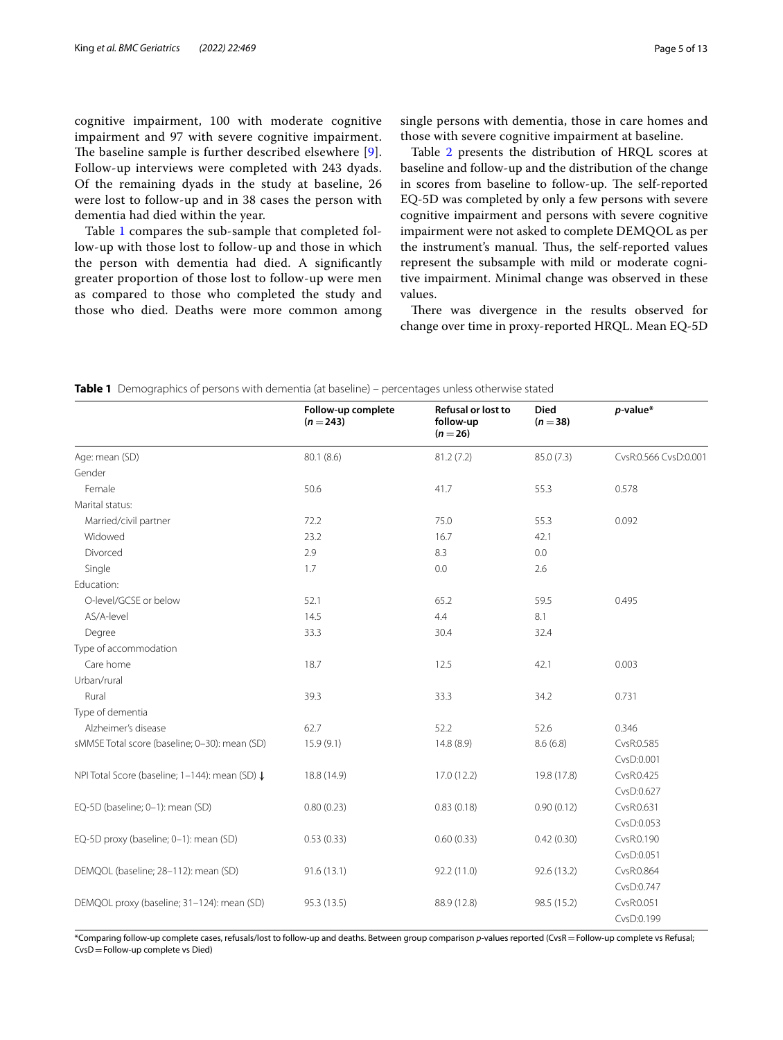cognitive impairment, 100 with moderate cognitive impairment and 97 with severe cognitive impairment. The baseline sample is further described elsewhere [[9\]](#page-11-7). Follow-up interviews were completed with 243 dyads. Of the remaining dyads in the study at baseline, 26 were lost to follow-up and in 38 cases the person with dementia had died within the year.

Table [1](#page-4-0) compares the sub-sample that completed follow-up with those lost to follow-up and those in which the person with dementia had died. A signifcantly greater proportion of those lost to follow-up were men as compared to those who completed the study and those who died. Deaths were more common among single persons with dementia, those in care homes and those with severe cognitive impairment at baseline.

Table [2](#page-5-0) presents the distribution of HRQL scores at baseline and follow-up and the distribution of the change in scores from baseline to follow-up. The self-reported EQ-5D was completed by only a few persons with severe cognitive impairment and persons with severe cognitive impairment were not asked to complete DEMQOL as per the instrument's manual. Thus, the self-reported values represent the subsample with mild or moderate cognitive impairment. Minimal change was observed in these values.

There was divergence in the results observed for change over time in proxy-reported HRQL. Mean EQ-5D

|                                                | Follow-up complete<br>$(n=243)$ | <b>Refusal or lost to</b><br>follow-up<br>$(n = 26)$ | <b>Died</b><br>$(n = 38)$ | $p$ -value*           |
|------------------------------------------------|---------------------------------|------------------------------------------------------|---------------------------|-----------------------|
| Age: mean (SD)                                 | 80.1 (8.6)                      | 81.2(7.2)                                            | 85.0 (7.3)                | CvsR:0.566 CvsD:0.001 |
| Gender                                         |                                 |                                                      |                           |                       |
| Female                                         | 50.6                            | 41.7                                                 | 55.3                      | 0.578                 |
| Marital status:                                |                                 |                                                      |                           |                       |
| Married/civil partner                          | 72.2                            | 75.0                                                 | 55.3                      | 0.092                 |
| Widowed                                        | 23.2                            | 16.7                                                 | 42.1                      |                       |
| Divorced                                       | 2.9                             | 8.3                                                  | 0.0                       |                       |
| Single                                         | 1.7                             | 0.0                                                  | 2.6                       |                       |
| Education:                                     |                                 |                                                      |                           |                       |
| O-level/GCSE or below                          | 52.1                            | 65.2                                                 | 59.5                      | 0.495                 |
| AS/A-level                                     | 14.5                            | 4.4                                                  | 8.1                       |                       |
| Degree                                         | 33.3                            | 30.4                                                 | 32.4                      |                       |
| Type of accommodation                          |                                 |                                                      |                           |                       |
| Care home                                      | 18.7                            | 12.5                                                 | 42.1                      | 0.003                 |
| Urban/rural                                    |                                 |                                                      |                           |                       |
| Rural                                          | 39.3                            | 33.3                                                 | 34.2                      | 0.731                 |
| Type of dementia                               |                                 |                                                      |                           |                       |
| Alzheimer's disease                            | 62.7                            | 52.2                                                 | 52.6                      | 0.346                 |
| sMMSE Total score (baseline; 0-30): mean (SD)  | 15.9(9.1)                       | 14.8 (8.9)                                           | 8.6(6.8)                  | CvsR:0.585            |
|                                                |                                 |                                                      |                           | CvsD:0.001            |
| NPI Total Score (baseline; 1-144): mean (SD) ↓ | 18.8 (14.9)                     | 17.0 (12.2)                                          | 19.8 (17.8)               | CvsR:0.425            |
|                                                |                                 |                                                      |                           | CvsD:0.627            |
| EQ-5D (baseline; 0-1): mean (SD)               | 0.80(0.23)                      | 0.83(0.18)                                           | 0.90(0.12)                | CvsR:0.631            |
|                                                |                                 |                                                      |                           | CvsD:0.053            |
| EQ-5D proxy (baseline; 0-1): mean (SD)         | 0.53(0.33)                      | 0.60(0.33)                                           | 0.42(0.30)                | CvsR:0.190            |
|                                                |                                 |                                                      |                           | CvsD:0.051            |
| DEMQOL (baseline; 28-112): mean (SD)           | 91.6(13.1)                      | 92.2 (11.0)                                          | 92.6 (13.2)               | CvsR:0.864            |
|                                                |                                 |                                                      |                           | CvsD:0.747            |
| DEMQOL proxy (baseline; 31-124): mean (SD)     | 95.3 (13.5)                     | 88.9 (12.8)                                          | 98.5 (15.2)               | CvsR:0.051            |
|                                                |                                 |                                                      |                           | CvsD:0.199            |

<span id="page-4-0"></span>**Table 1** Demographics of persons with dementia (at baseline) – percentages unless otherwise stated

\*Comparing follow-up complete cases, refusals/lost to follow-up and deaths. Between group comparison *p*-values reported (CvsR=Follow-up complete vs Refusal; CvsD=Follow-up complete vs Died)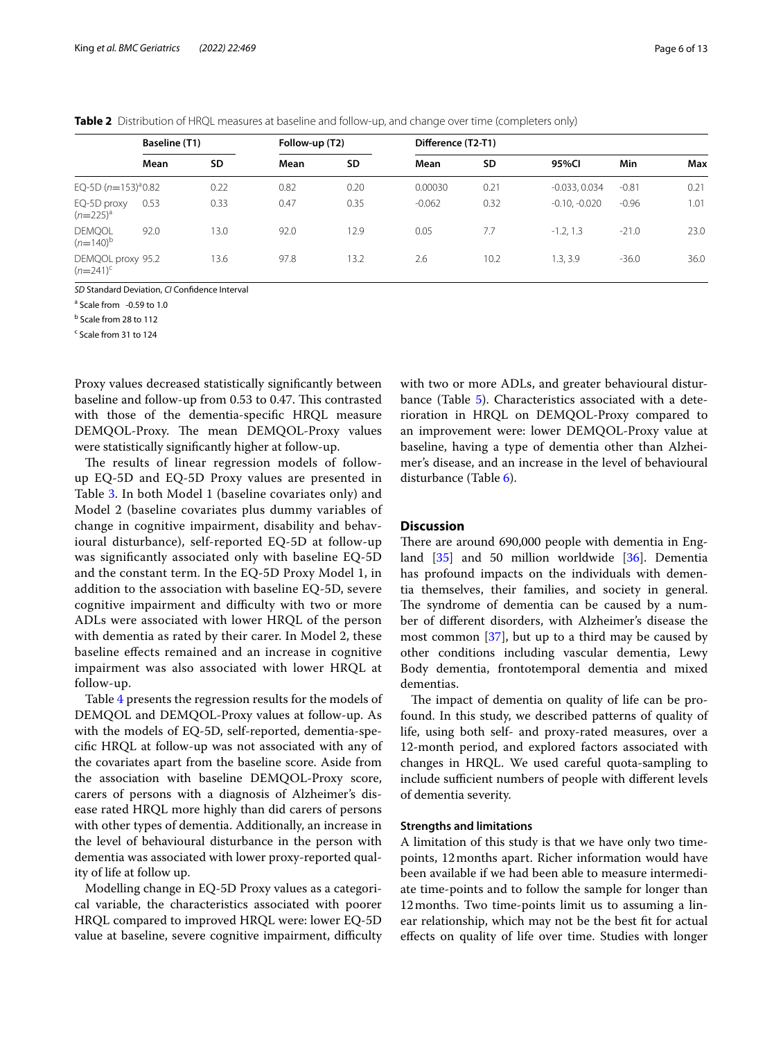<span id="page-5-0"></span>

| Table 2 Distribution of HRQL measures at baseline and follow-up, and change over time (completers only) |  |
|---------------------------------------------------------------------------------------------------------|--|
|---------------------------------------------------------------------------------------------------------|--|

|                                  | Baseline (T1) |      | Follow-up (T2) |           | Difference (T2-T1) |      |                 |         |      |
|----------------------------------|---------------|------|----------------|-----------|--------------------|------|-----------------|---------|------|
|                                  | Mean          | SD   | Mean           | <b>SD</b> | Mean               | SD   | 95%CI           | Min     | Max  |
| EQ-5D $(n=153)^{a}0.82$          |               | 0.22 | 0.82           | 0.20      | 0.00030            | 0.21 | $-0.033, 0.034$ | $-0.81$ | 0.21 |
| EQ-5D proxy<br>$(n=225)^a$       | 0.53          | 0.33 | 0.47           | 0.35      | $-0.062$           | 0.32 | $-0.10, -0.020$ | $-0.96$ | 1.01 |
| <b>DEMQOL</b><br>$(n=140)^b$     | 92.0          | 13.0 | 92.0           | 12.9      | 0.05               | 7.7  | $-1.2, 1.3$     | $-21.0$ | 23.0 |
| DEMQOL proxy 95.2<br>$(n=241)^c$ |               | 13.6 | 97.8           | 13.2      | 2.6                | 10.2 | 1.3.3.9         | $-36.0$ | 36.0 |

*SD* Standard Deviation, *CI* Confdence Interval

<sup>a</sup> Scale from -0.59 to 1.0

<sup>b</sup> Scale from 28 to 112

<sup>c</sup> Scale from 31 to 124

Proxy values decreased statistically signifcantly between baseline and follow-up from 0.53 to 0.47. This contrasted with those of the dementia-specifc HRQL measure DEMQOL-Proxy. The mean DEMQOL-Proxy values were statistically signifcantly higher at follow-up.

The results of linear regression models of followup EQ-5D and EQ-5D Proxy values are presented in Table [3](#page-7-0). In both Model 1 (baseline covariates only) and Model 2 (baseline covariates plus dummy variables of change in cognitive impairment, disability and behavioural disturbance), self-reported EQ-5D at follow-up was signifcantly associated only with baseline EQ-5D and the constant term. In the EQ-5D Proxy Model 1, in addition to the association with baseline EQ-5D, severe cognitive impairment and difficulty with two or more ADLs were associated with lower HRQL of the person with dementia as rated by their carer. In Model 2, these baseline efects remained and an increase in cognitive impairment was also associated with lower HRQL at follow-up.

Table [4](#page-8-0) presents the regression results for the models of DEMQOL and DEMQOL-Proxy values at follow-up. As with the models of EQ-5D, self-reported, dementia-specifc HRQL at follow-up was not associated with any of the covariates apart from the baseline score. Aside from the association with baseline DEMQOL-Proxy score, carers of persons with a diagnosis of Alzheimer's disease rated HRQL more highly than did carers of persons with other types of dementia. Additionally, an increase in the level of behavioural disturbance in the person with dementia was associated with lower proxy-reported quality of life at follow up.

Modelling change in EQ-5D Proxy values as a categorical variable, the characteristics associated with poorer HRQL compared to improved HRQL were: lower EQ-5D value at baseline, severe cognitive impairment, difficulty with two or more ADLs, and greater behavioural distur-bance (Table [5\)](#page-9-0). Characteristics associated with a deterioration in HRQL on DEMQOL-Proxy compared to an improvement were: lower DEMQOL-Proxy value at baseline, having a type of dementia other than Alzheimer's disease, and an increase in the level of behavioural disturbance (Table [6\)](#page-10-0).

## **Discussion**

There are around 690,000 people with dementia in England [[35\]](#page-12-20) and 50 million worldwide [[36\]](#page-12-21). Dementia has profound impacts on the individuals with dementia themselves, their families, and society in general. The syndrome of dementia can be caused by a number of diferent disorders, with Alzheimer's disease the most common [[37](#page-12-22)], but up to a third may be caused by other conditions including vascular dementia, Lewy Body dementia, frontotemporal dementia and mixed dementias.

The impact of dementia on quality of life can be profound. In this study, we described patterns of quality of life, using both self- and proxy-rated measures, over a 12-month period, and explored factors associated with changes in HRQL. We used careful quota-sampling to include sufficient numbers of people with different levels of dementia severity.

#### **Strengths and limitations**

A limitation of this study is that we have only two timepoints, 12months apart. Richer information would have been available if we had been able to measure intermediate time-points and to follow the sample for longer than 12months. Two time-points limit us to assuming a linear relationship, which may not be the best ft for actual efects on quality of life over time. Studies with longer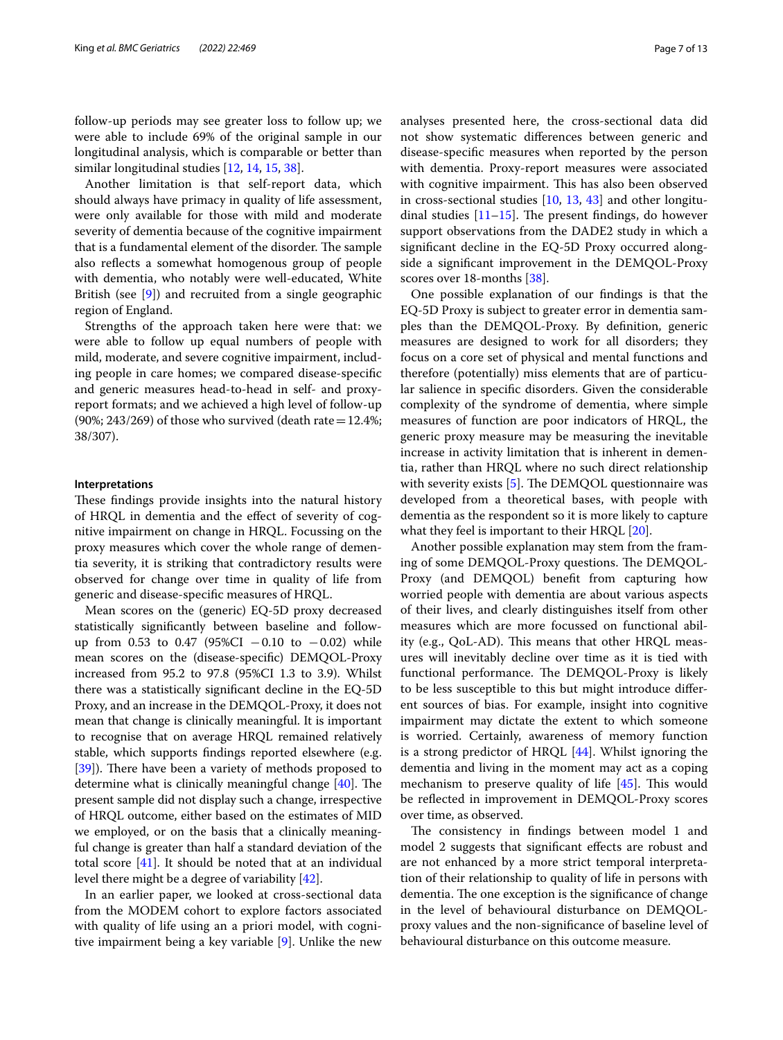follow-up periods may see greater loss to follow up; we were able to include 69% of the original sample in our longitudinal analysis, which is comparable or better than similar longitudinal studies [[12,](#page-11-10) [14](#page-12-23), [15,](#page-12-0) [38\]](#page-12-24).

Another limitation is that self-report data, which should always have primacy in quality of life assessment, were only available for those with mild and moderate severity of dementia because of the cognitive impairment that is a fundamental element of the disorder. The sample also refects a somewhat homogenous group of people with dementia, who notably were well-educated, White British (see [[9\]](#page-11-7)) and recruited from a single geographic region of England.

Strengths of the approach taken here were that: we were able to follow up equal numbers of people with mild, moderate, and severe cognitive impairment, including people in care homes; we compared disease-specifc and generic measures head-to-head in self- and proxyreport formats; and we achieved a high level of follow-up (90%; 243/269) of those who survived (death rate =  $12.4\%$ ; 38/307).

#### **Interpretations**

These findings provide insights into the natural history of HRQL in dementia and the efect of severity of cognitive impairment on change in HRQL. Focussing on the proxy measures which cover the whole range of dementia severity, it is striking that contradictory results were observed for change over time in quality of life from generic and disease-specifc measures of HRQL.

Mean scores on the (generic) EQ-5D proxy decreased statistically signifcantly between baseline and followup from 0.53 to 0.47 (95%CI  $-0.10$  to  $-0.02$ ) while mean scores on the (disease-specifc) DEMQOL-Proxy increased from 95.2 to 97.8 (95%CI 1.3 to 3.9). Whilst there was a statistically signifcant decline in the EQ-5D Proxy, and an increase in the DEMQOL-Proxy, it does not mean that change is clinically meaningful. It is important to recognise that on average HRQL remained relatively stable, which supports fndings reported elsewhere (e.g. [[39\]](#page-12-25)). There have been a variety of methods proposed to determine what is clinically meaningful change  $[40]$ . The present sample did not display such a change, irrespective of HRQL outcome, either based on the estimates of MID we employed, or on the basis that a clinically meaningful change is greater than half a standard deviation of the total score [[41](#page-12-27)]. It should be noted that at an individual level there might be a degree of variability [\[42](#page-12-28)].

In an earlier paper, we looked at cross-sectional data from the MODEM cohort to explore factors associated with quality of life using an a priori model, with cognitive impairment being a key variable [\[9](#page-11-7)]. Unlike the new analyses presented here, the cross-sectional data did not show systematic diferences between generic and disease-specifc measures when reported by the person with dementia. Proxy-report measures were associated with cognitive impairment. This has also been observed in cross-sectional studies  $[10, 13, 43]$  $[10, 13, 43]$  $[10, 13, 43]$  $[10, 13, 43]$  $[10, 13, 43]$  and other longitudinal studies  $[11–15]$  $[11–15]$  $[11–15]$  $[11–15]$ . The present findings, do however support observations from the DADE2 study in which a signifcant decline in the EQ-5D Proxy occurred alongside a signifcant improvement in the DEMQOL-Proxy scores over 18-months [[38\]](#page-12-24).

One possible explanation of our fndings is that the EQ-5D Proxy is subject to greater error in dementia samples than the DEMQOL-Proxy. By defnition, generic measures are designed to work for all disorders; they focus on a core set of physical and mental functions and therefore (potentially) miss elements that are of particular salience in specifc disorders. Given the considerable complexity of the syndrome of dementia, where simple measures of function are poor indicators of HRQL, the generic proxy measure may be measuring the inevitable increase in activity limitation that is inherent in dementia, rather than HRQL where no such direct relationship with severity exists  $[5]$  $[5]$ . The DEMQOL questionnaire was developed from a theoretical bases, with people with dementia as the respondent so it is more likely to capture what they feel is important to their HRQL [\[20\]](#page-12-5).

Another possible explanation may stem from the framing of some DEMQOL-Proxy questions. The DEMQOL-Proxy (and DEMQOL) beneft from capturing how worried people with dementia are about various aspects of their lives, and clearly distinguishes itself from other measures which are more focussed on functional ability (e.g., QoL-AD). This means that other HRQL measures will inevitably decline over time as it is tied with functional performance. The DEMQOL-Proxy is likely to be less susceptible to this but might introduce diferent sources of bias. For example, insight into cognitive impairment may dictate the extent to which someone is worried. Certainly, awareness of memory function is a strong predictor of HRQL [[44\]](#page-12-30). Whilst ignoring the dementia and living in the moment may act as a coping mechanism to preserve quality of life  $[45]$  $[45]$ . This would be refected in improvement in DEMQOL-Proxy scores over time, as observed.

The consistency in findings between model 1 and model 2 suggests that signifcant efects are robust and are not enhanced by a more strict temporal interpretation of their relationship to quality of life in persons with dementia. The one exception is the significance of change in the level of behavioural disturbance on DEMQOLproxy values and the non-signifcance of baseline level of behavioural disturbance on this outcome measure.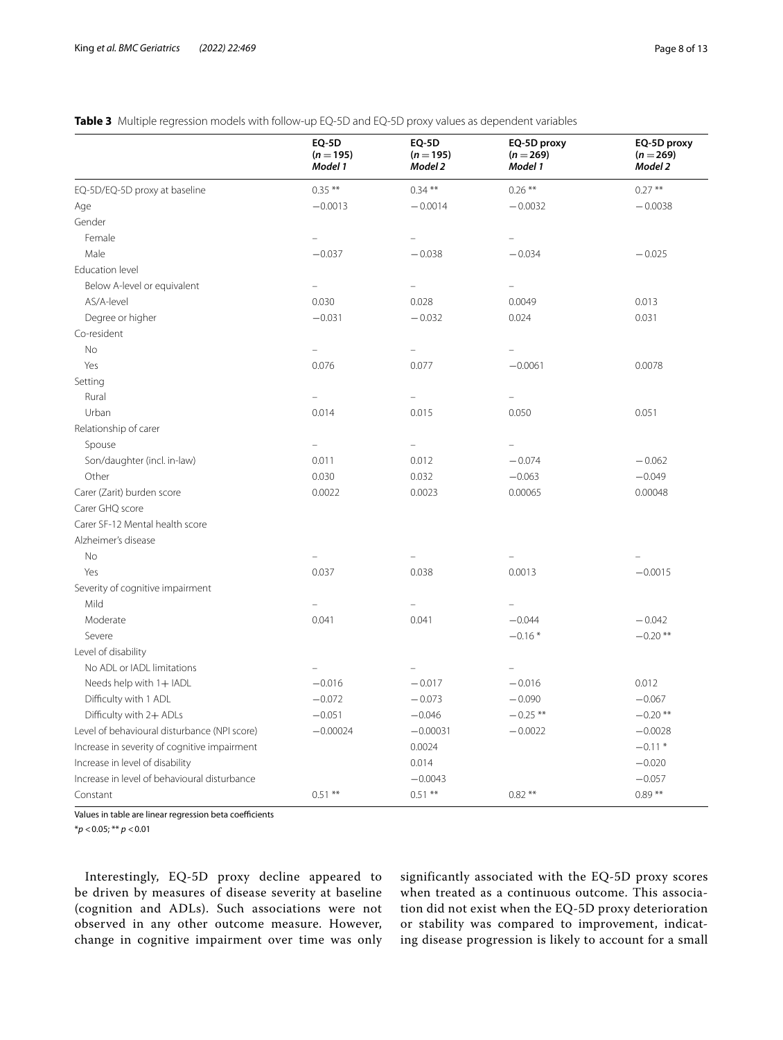## <span id="page-7-0"></span>**Table 3** Multiple regression models with follow-up EQ-5D and EQ-5D proxy values as dependent variables

|                                              | <b>EQ-5D</b><br>$(n = 195)$<br>Model 1 | <b>EQ-5D</b><br>$(n = 195)$<br>Model 2 | EQ-5D proxy<br>$(n = 269)$<br>Model 1 | EQ-5D proxy<br>$(n = 269)$<br>Model 2 |
|----------------------------------------------|----------------------------------------|----------------------------------------|---------------------------------------|---------------------------------------|
| EQ-5D/EQ-5D proxy at baseline                | $0.35***$                              | $0.34***$                              | $0.26***$                             | $0.27***$                             |
| Age                                          | $-0.0013$                              | $-0.0014$                              | $-0.0032$                             | $-0.0038$                             |
| Gender                                       |                                        |                                        |                                       |                                       |
| Female                                       | $\equiv$                               | $\overline{\phantom{0}}$               |                                       |                                       |
| Male                                         | $-0.037$                               | $-0.038$                               | $-0.034$                              | $-0.025$                              |
| Education level                              |                                        |                                        |                                       |                                       |
| Below A-level or equivalent                  |                                        |                                        |                                       |                                       |
| AS/A-level                                   | 0.030                                  | 0.028                                  | 0.0049                                | 0.013                                 |
| Degree or higher                             | $-0.031$                               | $-0.032$                               | 0.024                                 | 0.031                                 |
| Co-resident                                  |                                        |                                        |                                       |                                       |
| <b>No</b>                                    | $\bar{ }$                              | -                                      | $\overline{\phantom{0}}$              |                                       |
| Yes                                          | 0.076                                  | 0.077                                  | $-0.0061$                             | 0.0078                                |
| Setting                                      |                                        |                                        |                                       |                                       |
| Rural                                        |                                        | $\overline{a}$                         |                                       |                                       |
| Urban                                        | 0.014                                  | 0.015                                  | 0.050                                 | 0.051                                 |
| Relationship of carer                        |                                        |                                        |                                       |                                       |
| Spouse                                       |                                        |                                        |                                       |                                       |
| Son/daughter (incl. in-law)                  | 0.011                                  | 0.012                                  | $-0.074$                              | $-0.062$                              |
| Other                                        | 0.030                                  | 0.032                                  | $-0.063$                              | $-0.049$                              |
| Carer (Zarit) burden score                   | 0.0022                                 | 0.0023                                 | 0.00065                               | 0.00048                               |
| Carer GHQ score                              |                                        |                                        |                                       |                                       |
| Carer SF-12 Mental health score              |                                        |                                        |                                       |                                       |
| Alzheimer's disease                          |                                        |                                        |                                       |                                       |
| <b>No</b>                                    |                                        |                                        |                                       |                                       |
| Yes                                          | 0.037                                  | 0.038                                  | 0.0013                                | $-0.0015$                             |
| Severity of cognitive impairment             |                                        |                                        |                                       |                                       |
| Mild                                         |                                        |                                        | $\overline{\phantom{0}}$              |                                       |
| Moderate                                     | 0.041                                  | 0.041                                  | $-0.044$                              | $-0.042$                              |
| Severe                                       |                                        |                                        | $-0.16*$                              | $-0.20$ **                            |
| Level of disability                          |                                        |                                        |                                       |                                       |
| No ADL or IADL limitations                   |                                        | L,                                     | $\equiv$                              |                                       |
| Needs help with 1+ IADL                      | $-0.016$                               | $-0.017$                               | $-0.016$                              | 0.012                                 |
| Difficulty with 1 ADL                        | $-0.072$                               | $-0.073$                               | $-0.090$                              | $-0.067$                              |
| Difficulty with 2+ ADLs                      | $-0.051$                               | $-0.046$                               | $-0.25$ **                            | $-0.20$ **                            |
| Level of behavioural disturbance (NPI score) | $-0.00024$                             | $-0.00031$                             | $-0.0022$                             | $-0.0028$                             |
| Increase in severity of cognitive impairment |                                        | 0.0024                                 |                                       | $-0.11*$                              |
| Increase in level of disability              |                                        | 0.014                                  |                                       | $-0.020$                              |
| Increase in level of behavioural disturbance |                                        | $-0.0043$                              |                                       | $-0.057$                              |
| Constant                                     | $0.51***$                              | $0.51***$                              | $0.82**$                              | $0.89**$                              |

Values in table are linear regression beta coefficients

\**p* <0.05; \*\* *p* <0.01

Interestingly, EQ-5D proxy decline appeared to be driven by measures of disease severity at baseline (cognition and ADLs). Such associations were not observed in any other outcome measure. However, change in cognitive impairment over time was only significantly associated with the EQ-5D proxy scores when treated as a continuous outcome. This association did not exist when the EQ-5D proxy deterioration or stability was compared to improvement, indicating disease progression is likely to account for a small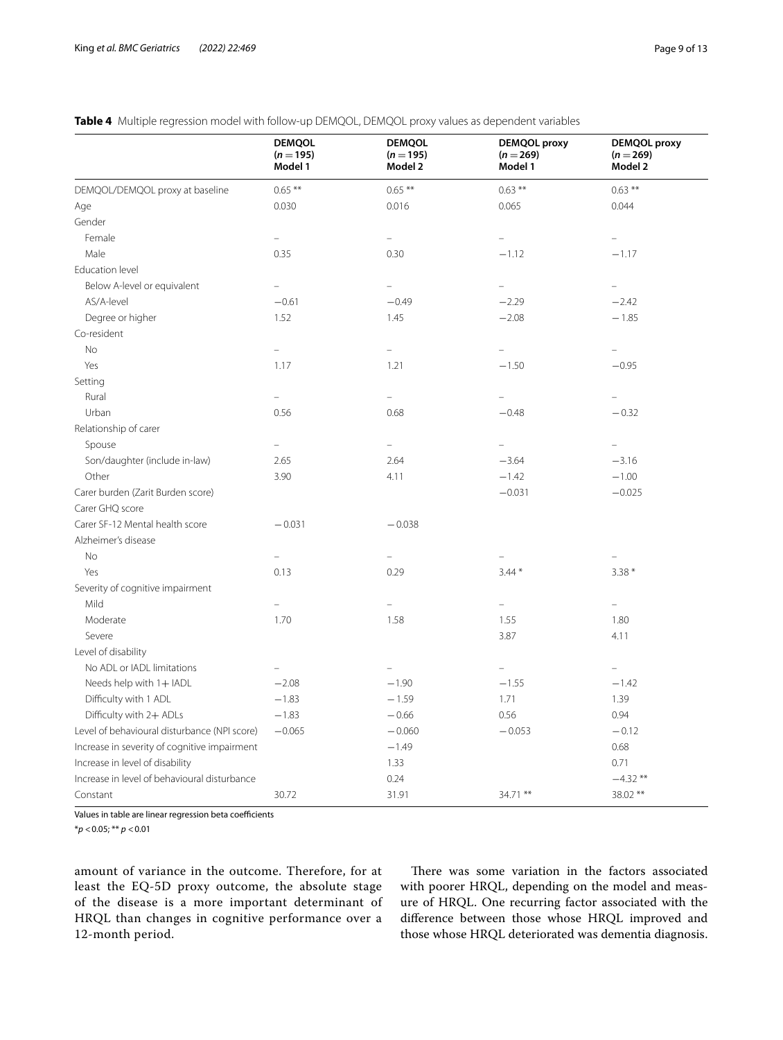## <span id="page-8-0"></span>**Table 4** Multiple regression model with follow-up DEMQOL, DEMQOL proxy values as dependent variables

|                                                                         | <b>DEMQOL</b><br>$(n = 195)$<br>Model 1 | <b>DEMQOL</b><br>$(n = 195)$<br>Model 2 | <b>DEMQOL</b> proxy<br>$(n = 269)$<br>Model 1 | DEMQOL proxy<br>$(n = 269)$<br>Model 2 |
|-------------------------------------------------------------------------|-----------------------------------------|-----------------------------------------|-----------------------------------------------|----------------------------------------|
| DEMQOL/DEMQOL proxy at baseline                                         | $0.65***$                               | $0.65***$                               | $0.63***$                                     | $0.63***$                              |
| Age                                                                     | 0.030                                   | 0.016                                   | 0.065                                         | 0.044                                  |
| Gender                                                                  |                                         |                                         |                                               |                                        |
| Female                                                                  |                                         |                                         | $\equiv$                                      |                                        |
| Male                                                                    | 0.35                                    | 0.30                                    | $-1.12$                                       | $-1.17$                                |
| Education level                                                         |                                         |                                         |                                               |                                        |
| Below A-level or equivalent                                             |                                         |                                         | $\bar{ }$                                     |                                        |
| AS/A-level                                                              | $-0.61$                                 | $-0.49$                                 | $-2.29$                                       | $-2.42$                                |
| Degree or higher                                                        | 1.52                                    | 1.45                                    | $-2.08$                                       | $-1.85$                                |
| Co-resident                                                             |                                         |                                         |                                               |                                        |
| <b>No</b>                                                               |                                         |                                         |                                               |                                        |
| Yes                                                                     | 1.17                                    | 1.21                                    | $-1.50$                                       | $-0.95$                                |
| Setting                                                                 |                                         |                                         |                                               |                                        |
| Rural                                                                   | $\overline{\phantom{0}}$                | $\overline{\phantom{0}}$                | $\overline{\phantom{0}}$                      |                                        |
| Urban                                                                   | 0.56                                    | 0.68                                    | $-0.48$                                       | $-0.32$                                |
| Relationship of carer                                                   |                                         |                                         |                                               |                                        |
| Spouse                                                                  |                                         | $\equiv$                                | $\equiv$                                      |                                        |
| Son/daughter (include in-law)                                           | 2.65                                    | 2.64                                    | $-3.64$                                       | $-3.16$                                |
| Other                                                                   | 3.90                                    | 4.11                                    | $-1.42$                                       | $-1.00$                                |
| Carer burden (Zarit Burden score)                                       |                                         |                                         | $-0.031$                                      | $-0.025$                               |
| Carer GHQ score                                                         |                                         |                                         |                                               |                                        |
| Carer SF-12 Mental health score                                         | $-0.031$                                | $-0.038$                                |                                               |                                        |
| Alzheimer's disease                                                     |                                         |                                         |                                               |                                        |
| No                                                                      |                                         |                                         |                                               |                                        |
| Yes                                                                     | 0.13                                    | 0.29                                    | $3.44*$                                       | $3.38*$                                |
| Severity of cognitive impairment                                        |                                         |                                         |                                               |                                        |
| Mild                                                                    |                                         |                                         |                                               |                                        |
| Moderate                                                                | 1.70                                    | 1.58                                    | 1.55                                          | 1.80                                   |
| Severe                                                                  |                                         |                                         | 3.87                                          | 4.11                                   |
| Level of disability                                                     |                                         |                                         |                                               |                                        |
| No ADL or IADL limitations                                              |                                         |                                         | $\overline{\phantom{a}}$                      |                                        |
| Needs help with 1+ IADL                                                 | $-2.08$                                 | $-1.90$                                 | $-1.55$                                       | $-1.42$                                |
| Difficulty with 1 ADL                                                   | $-1.83$                                 | $-1.59$                                 | 1.71                                          | 1.39                                   |
|                                                                         | $-1.83$                                 | $-0.66$                                 | 0.56                                          | 0.94                                   |
| Difficulty with 2+ ADLs<br>Level of behavioural disturbance (NPI score) | $-0.065$                                | $-0.060$                                | $-0.053$                                      | $-0.12$                                |
|                                                                         |                                         | $-1.49$                                 |                                               | 0.68                                   |
| Increase in severity of cognitive impairment                            |                                         |                                         |                                               |                                        |
| Increase in level of disability                                         |                                         | 1.33                                    |                                               | 0.71                                   |
| Increase in level of behavioural disturbance                            |                                         | 0.24                                    |                                               | $-4.32**$                              |
| Constant                                                                | 30.72                                   | 31.91                                   | 34.71 **                                      | 38.02 **                               |

Values in table are linear regression beta coefficients

\**p* <0.05; \*\* *p* <0.01

amount of variance in the outcome. Therefore, for at least the EQ-5D proxy outcome, the absolute stage of the disease is a more important determinant of HRQL than changes in cognitive performance over a 12-month period.

There was some variation in the factors associated with poorer HRQL, depending on the model and measure of HRQL. One recurring factor associated with the diference between those whose HRQL improved and those whose HRQL deteriorated was dementia diagnosis.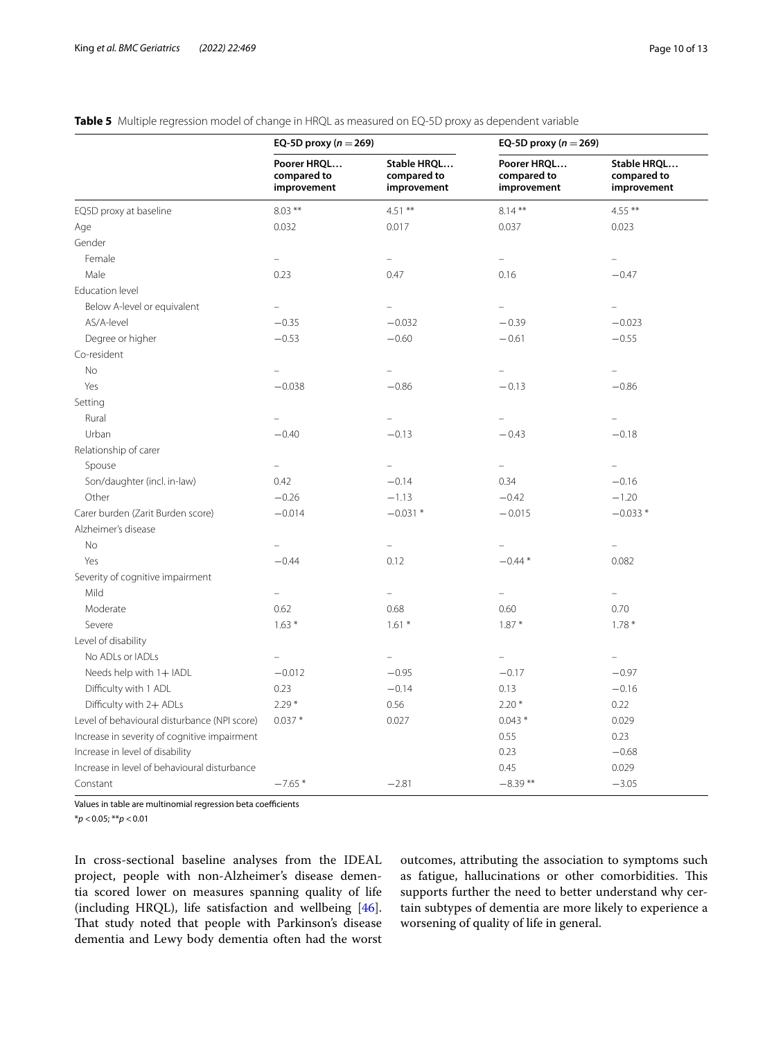## <span id="page-9-0"></span>**Table 5** Multiple regression model of change in HRQL as measured on EQ-5D proxy as dependent variable

|                                              | EQ-5D proxy ( $n = 269$ )                 |                                           | EQ-5D proxy ( $n = 269$ )                 |                                           |  |
|----------------------------------------------|-------------------------------------------|-------------------------------------------|-------------------------------------------|-------------------------------------------|--|
|                                              | Poorer HRQL<br>compared to<br>improvement | Stable HRQL<br>compared to<br>improvement | Poorer HRQL<br>compared to<br>improvement | Stable HRQL<br>compared to<br>improvement |  |
| EQ5D proxy at baseline                       | $8.03***$                                 | $4.51***$                                 | $8.14***$                                 | $4.55***$                                 |  |
| Age                                          | 0.032                                     | 0.017                                     | 0.037                                     | 0.023                                     |  |
| Gender                                       |                                           |                                           |                                           |                                           |  |
| Female                                       | $\equiv$                                  | $\equiv$                                  | $\overline{a}$                            | $\equiv$                                  |  |
| Male                                         | 0.23                                      | 0.47                                      | 0.16                                      | $-0.47$                                   |  |
| Education level                              |                                           |                                           |                                           |                                           |  |
| Below A-level or equivalent                  | $\overline{a}$                            |                                           | $\equiv$                                  |                                           |  |
| AS/A-level                                   | $-0.35$                                   | $-0.032$                                  | $-0.39$                                   | $-0.023$                                  |  |
| Degree or higher                             | $-0.53$                                   | $-0.60$                                   | $-0.61$                                   | $-0.55$                                   |  |
| Co-resident                                  |                                           |                                           |                                           |                                           |  |
| No                                           |                                           |                                           | $\equiv$                                  |                                           |  |
| Yes                                          | $-0.038$                                  | $-0.86$                                   | $-0.13$                                   | $-0.86$                                   |  |
| Setting                                      |                                           |                                           |                                           |                                           |  |
| Rural                                        |                                           | $\equiv$                                  | -                                         | $\overline{a}$                            |  |
| Urban                                        | $-0.40$                                   | $-0.13$                                   | $-0.43$                                   | $-0.18$                                   |  |
| Relationship of carer                        |                                           |                                           |                                           |                                           |  |
| Spouse                                       | $\equiv$                                  | $\equiv$                                  | $\equiv$                                  | L,                                        |  |
| Son/daughter (incl. in-law)                  | 0.42                                      | $-0.14$                                   | 0.34                                      | $-0.16$                                   |  |
| Other                                        | $-0.26$                                   | $-1.13$                                   | $-0.42$                                   | $-1.20$                                   |  |
| Carer burden (Zarit Burden score)            | $-0.014$                                  | $-0.031*$                                 | $-0.015$                                  | $-0.033*$                                 |  |
| Alzheimer's disease                          |                                           |                                           |                                           |                                           |  |
| No                                           | $\overline{a}$                            | $\equiv$                                  | $\qquad \qquad -$                         | $\equiv$                                  |  |
| Yes                                          | $-0.44$                                   | 0.12                                      | $-0.44*$                                  | 0.082                                     |  |
| Severity of cognitive impairment             |                                           |                                           |                                           |                                           |  |
| Mild                                         |                                           | $\equiv$                                  | L.                                        | $\equiv$                                  |  |
| Moderate                                     | 0.62                                      | 0.68                                      | 0.60                                      | 0.70                                      |  |
| Severe                                       | $1.63*$                                   | $1.61*$                                   | $1.87*$                                   | $1.78*$                                   |  |
| Level of disability                          |                                           |                                           |                                           |                                           |  |
| No ADLs or IADLs                             |                                           | $\overline{\phantom{0}}$                  | $\equiv$                                  |                                           |  |
| Needs help with 1+ IADL                      | $-0.012$                                  | $-0.95$                                   | $-0.17$                                   | $-0.97$                                   |  |
| Difficulty with 1 ADL                        | 0.23                                      | $-0.14$                                   | 0.13                                      | $-0.16$                                   |  |
| Difficulty with 2+ ADLs                      | $2.29*$                                   | 0.56                                      | $2.20*$                                   | 0.22                                      |  |
| Level of behavioural disturbance (NPI score) | $0.037*$                                  | 0.027                                     | $0.043*$                                  | 0.029                                     |  |
| Increase in severity of cognitive impairment |                                           |                                           | 0.55                                      | 0.23                                      |  |
| Increase in level of disability              |                                           |                                           | 0.23                                      | $-0.68$                                   |  |
| Increase in level of behavioural disturbance |                                           |                                           | 0.45                                      | 0.029                                     |  |
| Constant                                     | $-7.65*$                                  | $-2.81$                                   | $-8.39**$                                 | $-3.05$                                   |  |

Values in table are multinomial regression beta coefficients

\**p* <0.05; \*\**p* <0.01

In cross-sectional baseline analyses from the IDEAL project, people with non-Alzheimer's disease dementia scored lower on measures spanning quality of life (including HRQL), life satisfaction and wellbeing [\[46](#page-12-32)]. That study noted that people with Parkinson's disease dementia and Lewy body dementia often had the worst

outcomes, attributing the association to symptoms such as fatigue, hallucinations or other comorbidities. This supports further the need to better understand why certain subtypes of dementia are more likely to experience a worsening of quality of life in general.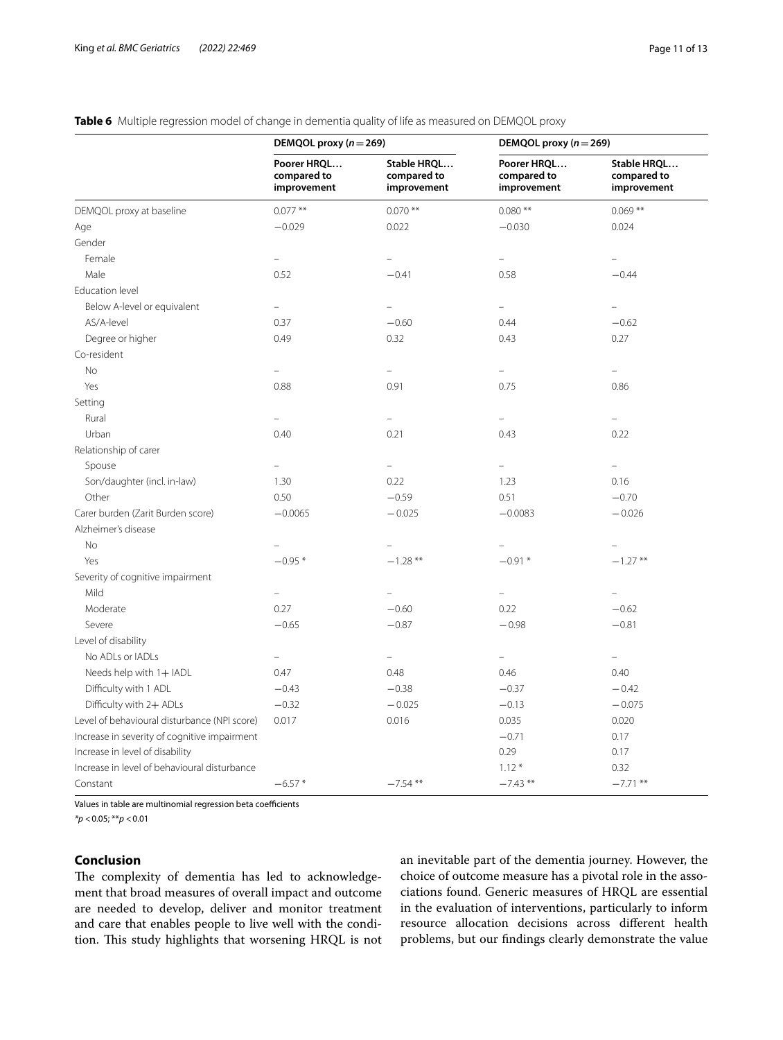## <span id="page-10-0"></span>**Table 6** Multiple regression model of change in dementia quality of life as measured on DEMQOL proxy

|                                              | DEMQOL proxy ( $n = 269$ )                |                                           | DEMQOL proxy ( $n = 269$ )                |                                           |  |
|----------------------------------------------|-------------------------------------------|-------------------------------------------|-------------------------------------------|-------------------------------------------|--|
|                                              | Poorer HRQL<br>compared to<br>improvement | Stable HRQL<br>compared to<br>improvement | Poorer HRQL<br>compared to<br>improvement | Stable HRQL<br>compared to<br>improvement |  |
| DEMQOL proxy at baseline                     | $0.077***$                                | $0.070$ **                                | $0.080**$                                 | $0.069***$                                |  |
| Age                                          | $-0.029$                                  | 0.022                                     | $-0.030$                                  | 0.024                                     |  |
| Gender                                       |                                           |                                           |                                           |                                           |  |
| Female                                       | $\equiv$                                  |                                           | $\equiv$                                  |                                           |  |
| Male                                         | 0.52                                      | $-0.41$                                   | 0.58                                      | $-0.44$                                   |  |
| Education level                              |                                           |                                           |                                           |                                           |  |
| Below A-level or equivalent                  | $\equiv$                                  | $\equiv$                                  | $\equiv$                                  | $\overline{a}$                            |  |
| AS/A-level                                   | 0.37                                      | $-0.60$                                   | 0.44                                      | $-0.62$                                   |  |
| Degree or higher                             | 0.49                                      | 0.32                                      | 0.43                                      | 0.27                                      |  |
| Co-resident                                  |                                           |                                           |                                           |                                           |  |
| <b>No</b>                                    |                                           |                                           | $\overline{\phantom{0}}$                  |                                           |  |
| Yes                                          | 0.88                                      | 0.91                                      | 0.75                                      | 0.86                                      |  |
| Setting                                      |                                           |                                           |                                           |                                           |  |
| Rural                                        |                                           | $\equiv$                                  | $\equiv$                                  | $\equiv$                                  |  |
| Urban                                        | 0.40                                      | 0.21                                      | 0.43                                      | 0.22                                      |  |
| Relationship of carer                        |                                           |                                           |                                           |                                           |  |
| Spouse                                       | $\equiv$                                  | $\equiv$                                  | $\equiv$                                  | 4                                         |  |
| Son/daughter (incl. in-law)                  | 1.30                                      | 0.22                                      | 1.23                                      | 0.16                                      |  |
| Other                                        | 0.50                                      | $-0.59$                                   | 0.51                                      | $-0.70$                                   |  |
| Carer burden (Zarit Burden score)            | $-0.0065$                                 | $-0.025$                                  | $-0.0083$                                 | $-0.026$                                  |  |
| Alzheimer's disease                          |                                           |                                           |                                           |                                           |  |
| <b>No</b>                                    |                                           |                                           | $\frac{1}{2}$                             |                                           |  |
| Yes                                          | $-0.95*$                                  | $-1.28$ **                                | $-0.91*$                                  | $-1.27**$                                 |  |
| Severity of cognitive impairment             |                                           |                                           |                                           |                                           |  |
| Mild                                         | $\overline{\phantom{0}}$                  | $\overline{\phantom{0}}$                  | $\frac{1}{2}$                             |                                           |  |
| Moderate                                     | 0.27                                      | $-0.60$                                   | 0.22                                      | $-0.62$                                   |  |
| Severe                                       | $-0.65$                                   | $-0.87$                                   | $-0.98$                                   | $-0.81$                                   |  |
| Level of disability                          |                                           |                                           |                                           |                                           |  |
| No ADLs or IADLs                             | $\overline{\phantom{0}}$                  | $\equiv$                                  | $\equiv$                                  | L.                                        |  |
| Needs help with 1+ IADL                      | 0.47                                      | 0.48                                      | 0.46                                      | 0.40                                      |  |
| Difficulty with 1 ADL                        | $-0.43$                                   | $-0.38$                                   | $-0.37$                                   | $-0.42$                                   |  |
| Difficulty with 2+ ADLs                      | $-0.32$                                   | $-0.025$                                  | $-0.13$                                   | $-0.075$                                  |  |
| Level of behavioural disturbance (NPI score) | 0.017                                     | 0.016                                     | 0.035                                     | 0.020                                     |  |
| Increase in severity of cognitive impairment |                                           |                                           | $-0.71$                                   | 0.17                                      |  |
| Increase in level of disability              |                                           |                                           | 0.29                                      | 0.17                                      |  |
| Increase in level of behavioural disturbance |                                           |                                           | $1.12*$                                   | 0.32                                      |  |
| Constant                                     | $-6.57*$                                  | $-7.54$ **                                | $-7.43$ **                                | $-7.71$ **                                |  |

Values in table are multinomial regression beta coefficients

*\*p* <0.05; \*\**p* <0.01

#### **Conclusion**

The complexity of dementia has led to acknowledgement that broad measures of overall impact and outcome are needed to develop, deliver and monitor treatment and care that enables people to live well with the condition. This study highlights that worsening HRQL is not an inevitable part of the dementia journey. However, the choice of outcome measure has a pivotal role in the associations found. Generic measures of HRQL are essential in the evaluation of interventions, particularly to inform resource allocation decisions across diferent health problems, but our fndings clearly demonstrate the value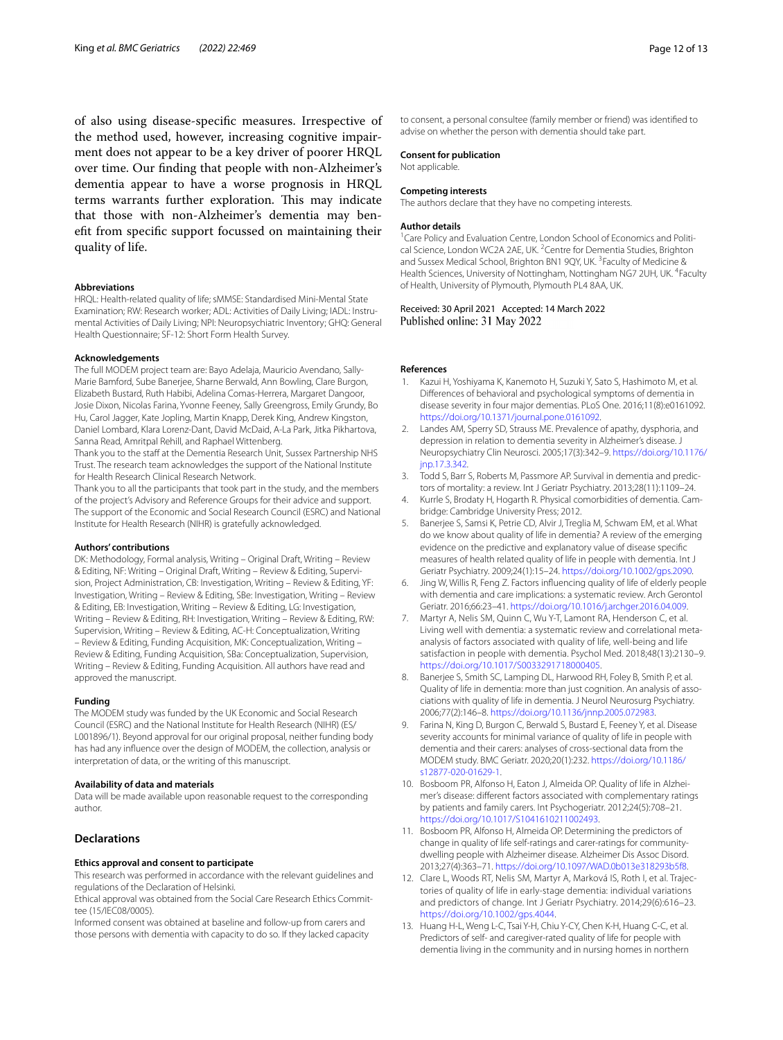of also using disease-specifc measures. Irrespective of the method used, however, increasing cognitive impairment does not appear to be a key driver of poorer HRQL over time. Our fnding that people with non-Alzheimer's dementia appear to have a worse prognosis in HRQL terms warrants further exploration. This may indicate that those with non-Alzheimer's dementia may beneft from specifc support focussed on maintaining their quality of life.

#### **Abbreviations**

HRQL: Health-related quality of life; sMMSE: Standardised Mini-Mental State Examination; RW: Research worker; ADL: Activities of Daily Living; IADL: Instrumental Activities of Daily Living; NPI: Neuropsychiatric Inventory; GHQ: General Health Questionnaire; SF-12: Short Form Health Survey.

#### **Acknowledgements**

The full MODEM project team are: Bayo Adelaja, Mauricio Avendano, Sally-Marie Bamford, Sube Banerjee, Sharne Berwald, Ann Bowling, Clare Burgon, Elizabeth Bustard, Ruth Habibi, Adelina Comas-Herrera, Margaret Dangoor, Josie Dixon, Nicolas Farina, Yvonne Feeney, Sally Greengross, Emily Grundy, Bo Hu, Carol Jagger, Kate Jopling, Martin Knapp, Derek King, Andrew Kingston, Daniel Lombard, Klara Lorenz-Dant, David McDaid, A-La Park, Jitka Pikhartova, Sanna Read, Amritpal Rehill, and Raphael Wittenberg.

Thank you to the staff at the Dementia Research Unit, Sussex Partnership NHS Trust. The research team acknowledges the support of the National Institute for Health Research Clinical Research Network.

Thank you to all the participants that took part in the study, and the members of the project's Advisory and Reference Groups for their advice and support. The support of the Economic and Social Research Council (ESRC) and National Institute for Health Research (NIHR) is gratefully acknowledged.

#### **Authors' contributions**

DK: Methodology, Formal analysis, Writing – Original Draft, Writing – Review & Editing, NF: Writing - Original Draft, Writing - Review & Editing, Supervision, Project Administration, CB: Investigation, Writing – Review & Editing, YF: Investigation, Writing – Review & Editing, SBe: Investigation, Writing – Review & Editing, EB: Investigation, Writing – Review & Editing, LG: Investigation, Writing – Review & Editing, RH: Investigation, Writing – Review & Editing, RW: Supervision, Writing – Review & Editing, AC-H: Conceptualization, Writing – Review & Editing, Funding Acquisition, MK: Conceptualization, Writing – Review & Editing, Funding Acquisition, SBa: Conceptualization, Supervision, Writing – Review & Editing, Funding Acquisition. All authors have read and approved the manuscript.

#### **Funding**

The MODEM study was funded by the UK Economic and Social Research Council (ESRC) and the National Institute for Health Research (NIHR) (ES/ L001896/1). Beyond approval for our original proposal, neither funding body has had any infuence over the design of MODEM, the collection, analysis or interpretation of data, or the writing of this manuscript.

#### **Availability of data and materials**

Data will be made available upon reasonable request to the corresponding author.

#### **Declarations**

#### **Ethics approval and consent to participate**

This research was performed in accordance with the relevant guidelines and regulations of the Declaration of Helsinki.

Ethical approval was obtained from the Social Care Research Ethics Committee (15/IEC08/0005).

Informed consent was obtained at baseline and follow-up from carers and those persons with dementia with capacity to do so. If they lacked capacity to consent, a personal consultee (family member or friend) was identifed to advise on whether the person with dementia should take part.

#### **Consent for publication**

Not applicable.

#### **Competing interests**

The authors declare that they have no competing interests.

#### **Author details**

<sup>1</sup> Care Policy and Evaluation Centre, London School of Economics and Political Science, London WC2A 2AE, UK. <sup>2</sup> Centre for Dementia Studies, Brighton and Sussex Medical School, Brighton BN1 9QY, UK.<sup>3</sup> Faculty of Medicine & Health Sciences, University of Nottingham, Nottingham NG7 2UH, UK. <sup>4</sup>Faculty of Health, University of Plymouth, Plymouth PL4 8AA, UK.

#### Received: 30 April 2021 Accepted: 14 March 2022 Published online: 31 May 2022

#### **References**

- <span id="page-11-0"></span>Kazui H, Yoshiyama K, Kanemoto H, Suzuki Y, Sato S, Hashimoto M, et al. Diferences of behavioral and psychological symptoms of dementia in disease severity in four major dementias. PLoS One. 2016;11(8):e0161092. <https://doi.org/10.1371/journal.pone.0161092>.
- <span id="page-11-1"></span>2. Landes AM, Sperry SD, Strauss ME. Prevalence of apathy, dysphoria, and depression in relation to dementia severity in Alzheimer's disease. J Neuropsychiatry Clin Neurosci. 2005;17(3):342–9. [https://doi.org/10.1176/](https://doi.org/10.1176/jnp.17.3.342) [jnp.17.3.342](https://doi.org/10.1176/jnp.17.3.342).
- <span id="page-11-2"></span>3. Todd S, Barr S, Roberts M, Passmore AP. Survival in dementia and predictors of mortality: a review. Int J Geriatr Psychiatry. 2013;28(11):1109–24.
- <span id="page-11-3"></span>4. Kurrle S, Brodaty H, Hogarth R. Physical comorbidities of dementia. Cambridge: Cambridge University Press; 2012.
- <span id="page-11-4"></span>5. Banerjee S, Samsi K, Petrie CD, Alvir J, Treglia M, Schwam EM, et al. What do we know about quality of life in dementia? A review of the emerging evidence on the predictive and explanatory value of disease specifc measures of health related quality of life in people with dementia. Int J Geriatr Psychiatry. 2009;24(1):15–24. <https://doi.org/10.1002/gps.2090>.
- <span id="page-11-9"></span>6. Jing W, Willis R, Feng Z. Factors infuencing quality of life of elderly people with dementia and care implications: a systematic review. Arch Gerontol Geriatr. 2016;66:23–41.<https://doi.org/10.1016/j.archger.2016.04.009>.
- <span id="page-11-5"></span>7. Martyr A, Nelis SM, Quinn C, Wu Y-T, Lamont RA, Henderson C, et al. Living well with dementia: a systematic review and correlational metaanalysis of factors associated with quality of life, well-being and life satisfaction in people with dementia. Psychol Med. 2018;48(13):2130–9. [https://doi.org/10.1017/S0033291718000405.](https://doi.org/10.1017/S0033291718000405)
- <span id="page-11-6"></span>8. Banerjee S, Smith SC, Lamping DL, Harwood RH, Foley B, Smith P, et al. Quality of life in dementia: more than just cognition. An analysis of associations with quality of life in dementia. J Neurol Neurosurg Psychiatry. 2006;77(2):146–8. [https://doi.org/10.1136/jnnp.2005.072983.](https://doi.org/10.1136/jnnp.2005.072983)
- <span id="page-11-7"></span>9. Farina N, King D, Burgon C, Berwald S, Bustard E, Feeney Y, et al. Disease severity accounts for minimal variance of quality of life in people with dementia and their carers: analyses of cross-sectional data from the MODEM study. BMC Geriatr. 2020;20(1):232. [https://doi.org/10.1186/](https://doi.org/10.1186/s12877-020-01629-1) [s12877-020-01629-1](https://doi.org/10.1186/s12877-020-01629-1).
- <span id="page-11-8"></span>10. Bosboom PR, Alfonso H, Eaton J, Almeida OP. Quality of life in Alzheimer's disease: diferent factors associated with complementary ratings by patients and family carers. Int Psychogeriatr. 2012;24(5):708–21. <https://doi.org/10.1017/S1041610211002493>.
- <span id="page-11-12"></span>11. Bosboom PR, Alfonso H, Almeida OP. Determining the predictors of change in quality of life self-ratings and carer-ratings for communitydwelling people with Alzheimer disease. Alzheimer Dis Assoc Disord. 2013;27(4):363–71. [https://doi.org/10.1097/WAD.0b013e318293b5f8.](https://doi.org/10.1097/WAD.0b013e318293b5f8)
- <span id="page-11-10"></span>12. Clare L, Woods RT, Nelis SM, Martyr A, Marková IS, Roth I, et al. Trajectories of quality of life in early-stage dementia: individual variations and predictors of change. Int J Geriatr Psychiatry. 2014;29(6):616–23. [https://doi.org/10.1002/gps.4044.](https://doi.org/10.1002/gps.4044)
- <span id="page-11-11"></span>13. Huang H-L, Weng L-C, Tsai Y-H, Chiu Y-CY, Chen K-H, Huang C-C, et al. Predictors of self- and caregiver-rated quality of life for people with dementia living in the community and in nursing homes in northern